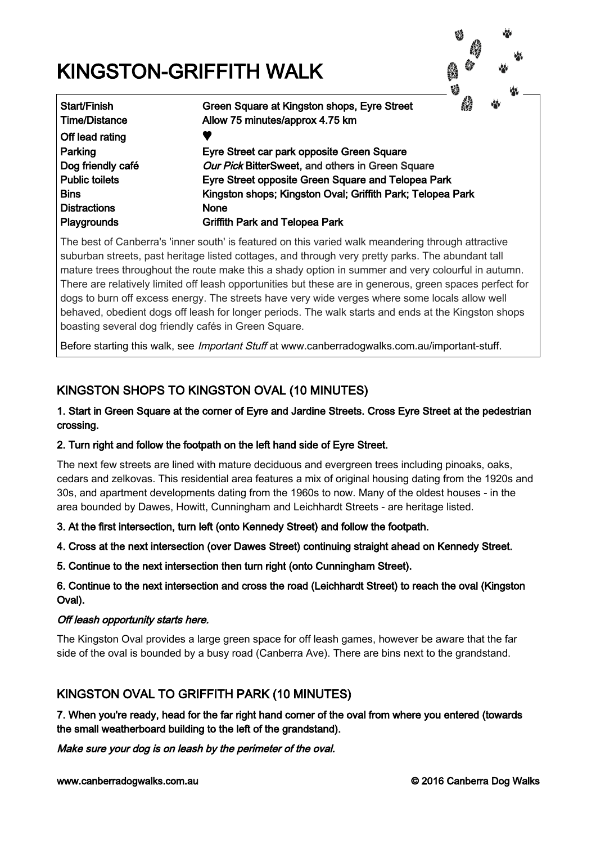# KINGSTON-GRIFFITH WALK



Off lead rating Distractions None

Start/Finish Green Square at Kingston shops, Eyre Street Time/Distance Allow 75 minutes/approx 4.75 km Parking Eyre Street car park opposite Green Square Dog friendly café **Our Pick BitterSweet**, and others in Green Square Public toilets Eyre Street opposite Green Square and Telopea Park Bins Kingston shops; Kingston Oval; Griffith Park; Telopea Park

Playgrounds Griffith Park and Telopea Park

The best of Canberra's 'inner south' is featured on this varied walk meandering through attractive suburban streets, past heritage listed cottages, and through very pretty parks. The abundant tall mature trees throughout the route make this a shady option in summer and very colourful in autumn. There are relatively limited off leash opportunities but these are in generous, green spaces perfect for dogs to burn off excess energy. The streets have very wide verges where some locals allow well behaved, obedient dogs off leash for longer periods. The walk starts and ends at the Kingston shops boasting several dog friendly cafés in Green Square.

Before starting this walk, see *Important Stuff* at www.canberradogwalks.com.au/important-stuff.

# KINGSTON SHOPS TO KINGSTON OVAL (10 MINUTES)

## 1. Start in Green Square at the corner of Eyre and Jardine Streets. Cross Eyre Street at the pedestrian crossing.

## 2. Turn right and follow the footpath on the left hand side of Eyre Street.

The next few streets are lined with mature deciduous and evergreen trees including pinoaks, oaks, cedars and zelkovas. This residential area features a mix of original housing dating from the 1920s and 30s, and apartment developments dating from the 1960s to now. Many of the oldest houses - in the area bounded by Dawes, Howitt, Cunningham and Leichhardt Streets - are heritage listed.

3. At the first intersection, turn left (onto Kennedy Street) and follow the footpath.

4. Cross at the next intersection (over Dawes Street) continuing straight ahead on Kennedy Street.

5. Continue to the next intersection then turn right (onto Cunningham Street).

## 6. Continue to the next intersection and cross the road (Leichhardt Street) to reach the oval (Kingston Oval).

## Off leash opportunity starts here.

The Kingston Oval provides a large green space for off leash games, however be aware that the far side of the oval is bounded by a busy road (Canberra Ave). There are bins next to the grandstand.

# KINGSTON OVAL TO GRIFFITH PARK (10 MINUTES)

7. When you're ready, head for the far right hand corner of the oval from where you entered (towards the small weatherboard building to the left of the grandstand).

Make sure your dog is on leash by the perimeter of the oval.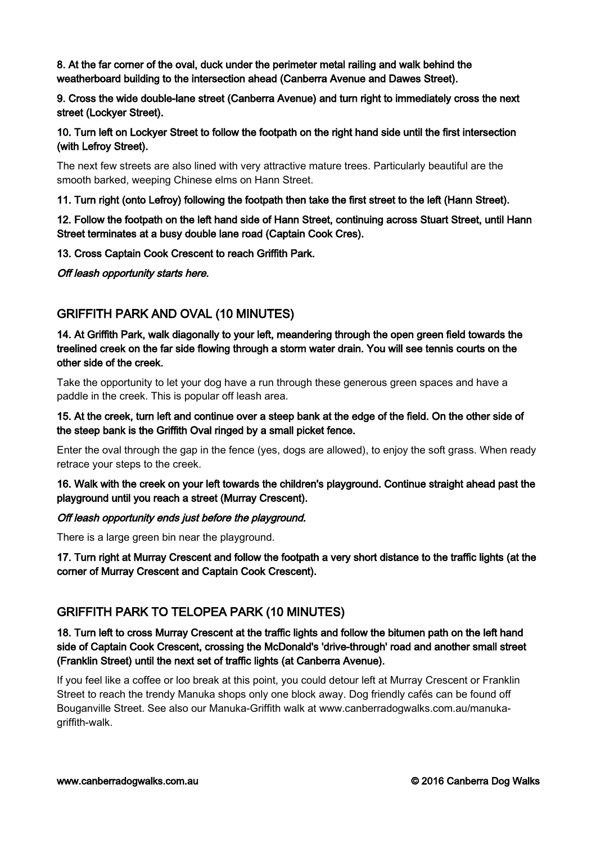8. At the far corner of the oval, duck under the perimeter metal railing and walk behind the weatherboard building to the intersection ahead (Canberra Avenue and Dawes Street).

9. Cross the wide double-lane street (Canberra Avenue) and turn right to immediately cross the next street (Lockyer Street).

10. Turn left on Lockyer Street to follow the footpath on the right hand side until the first intersection (with Lefroy Street).

The next few streets are also lined with very attractive mature trees. Particularly beautiful are the smooth barked, weeping Chinese elms on Hann Street.

11. Turn right (onto Lefroy) following the footpath then take the first street to the left (Hann Street).

12. Follow the footpath on the left hand side of Hann Street, continuing across Stuart Street, until Hann Street terminates at a busy double lane road (Captain Cook Cres).

13. Cross Captain Cook Crescent to reach Griffith Park.

Off leash opportunity starts here.

## GRIFFITH PARK AND OVAL (10 MINUTES)

14. At Griffith Park, walk diagonally to your left, meandering through the open green field towards the treelined creek on the far side flowing through a storm water drain. You will see tennis courts on the other side of the creek.

Take the opportunity to let your dog have a run through these generous green spaces and have a paddle in the creek. This is popular off leash area.

15. At the creek, turn left and continue over a steep bank at the edge of the field. On the other side of the steep bank is the Griffith Oval ringed by a small picket fence.

Enter the oval through the gap in the fence (yes, dogs are allowed), to enjoy the soft grass. When ready retrace your steps to the creek.

16. Walk with the creek on your left towards the children's playground. Continue straight ahead past the playground until you reach a street (Murray Crescent).

#### Off leash opportunity ends just before the playground.

There is a large green bin near the playground.

17. Turn right at Murray Crescent and follow the footpath a very short distance to the traffic lights (at the corner of Murray Crescent and Captain Cook Crescent).

## GRIFFITH PARK TO TELOPEA PARK (10 MINUTES)

18. Turn left to cross Murray Crescent at the traffic lights and follow the bitumen path on the left hand side of Captain Cook Crescent, crossing the McDonald's 'drive-through' road and another small street (Franklin Street) until the next set of traffic lights (at Canberra Avenue).

If you feel like a coffee or loo break at this point, you could detour left at Murray Crescent or Franklin Street to reach the trendy Manuka shops only one block away. Dog friendly cafés can be found off Bouganville Street. See also our Manuka-Griffith walk at www.canberradogwalks.com.au/manukagriffith-walk.